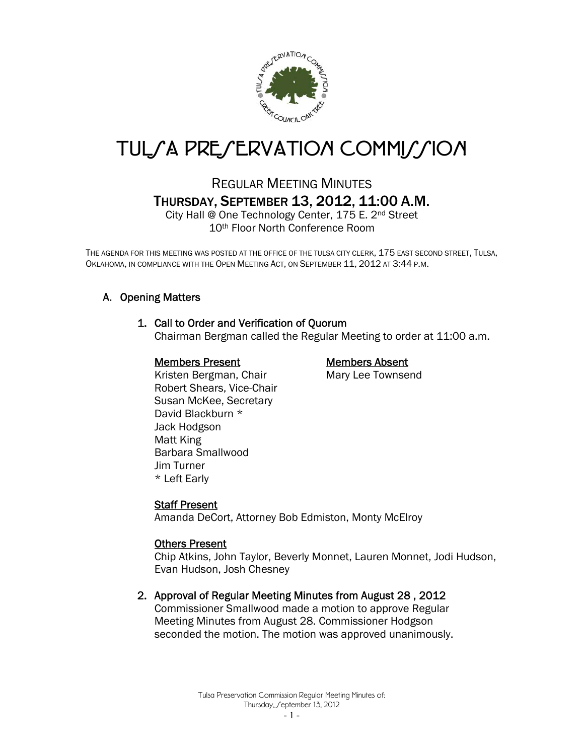

# TUL*SA PRESERVATION COMMISSION*

# REGULAR MEETING MINUTES THURSDAY, SEPTEMBER 13, 2012, 11:00 A.M.

City Hall @ One Technology Center, 175 E. 2nd Street 10th Floor North Conference Room

THE AGENDA FOR THIS MEETING WAS POSTED AT THE OFFICE OF THE TULSA CITY CLERK, 175 EAST SECOND STREET, TULSA, OKLAHOMA, IN COMPLIANCE WITH THE OPEN MEETING ACT, ON SEPTEMBER 11, 2012 AT 3:44 P.M.

# A. Opening Matters

# 1. Call to Order and Verification of Quorum

Chairman Bergman called the Regular Meeting to order at 11:00 a.m.

# Members Present Members Absent

Kristen Bergman, Chair Mary Lee Townsend Robert Shears, Vice-Chair Susan McKee, Secretary David Blackburn \* Jack Hodgson Matt King Barbara Smallwood Jim Turner \* Left Early

# Staff Present

Amanda DeCort, Attorney Bob Edmiston, Monty McElroy

# Others Present

Chip Atkins, John Taylor, Beverly Monnet, Lauren Monnet, Jodi Hudson, Evan Hudson, Josh Chesney

# 2. Approval of Regular Meeting Minutes from August 28 , 2012

Commissioner Smallwood made a motion to approve Regular Meeting Minutes from August 28. Commissioner Hodgson seconded the motion. The motion was approved unanimously.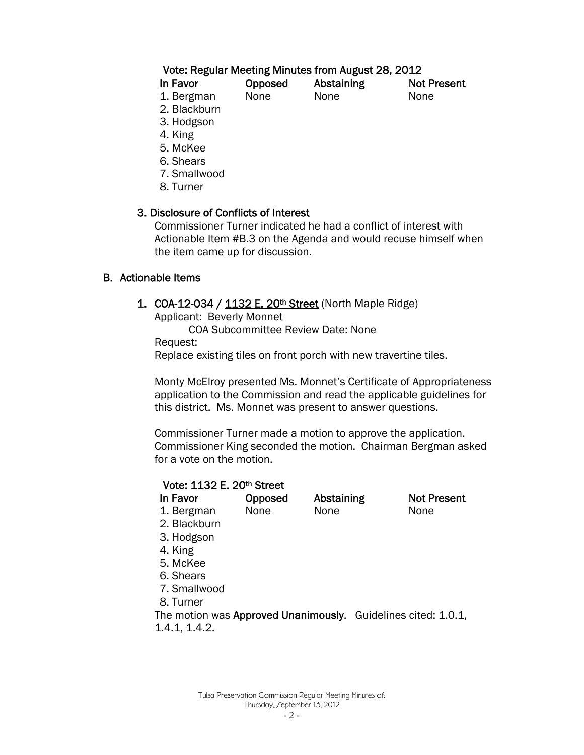# Vote: Regular Meeting Minutes from August 28, 2012

| In Favor   | <b>Opposed</b> | <b>Abstaining</b> | <b>Not Present</b> |
|------------|----------------|-------------------|--------------------|
| 1. Bergman | <b>None</b>    | None              | None               |
| ---        |                |                   |                    |

2. Blackburn

3. Hodgson

4. King

- 5. McKee
- 6. Shears
- 7. Smallwood
- 8. Turner

# 3. Disclosure of Conflicts of Interest

 Commissioner Turner indicated he had a conflict of interest with Actionable Item #B.3 on the Agenda and would recuse himself when the item came up for discussion.

# B. Actionable Items

1. COA-12-034 / 1132 E. 20<sup>th</sup> Street (North Maple Ridge)

Applicant: Beverly Monnet

COA Subcommittee Review Date: None

Request:

Replace existing tiles on front porch with new travertine tiles.

Monty McElroy presented Ms. Monnet's Certificate of Appropriateness application to the Commission and read the applicable guidelines for this district. Ms. Monnet was present to answer questions.

Commissioner Turner made a motion to approve the application. Commissioner King seconded the motion. Chairman Bergman asked for a vote on the motion.

**Not Present** 

| Vote: 1132 E. 20th Street |         |                   |        |
|---------------------------|---------|-------------------|--------|
| In Favor                  | Opposed | <b>Abstaining</b> | Not Pi |
| 1. Bergman                | None    | None              | None   |
| 2. Blackburn              |         |                   |        |
| 3. Hodgson                |         |                   |        |
| 4. King                   |         |                   |        |
| 5. McKee                  |         |                   |        |
| 6. Shears                 |         |                   |        |
| 7. Smallwood              |         |                   |        |
| 8. Turner                 |         |                   |        |

The motion was Approved Unanimously. Guidelines cited: 1.0.1, 1.4.1, 1.4.2.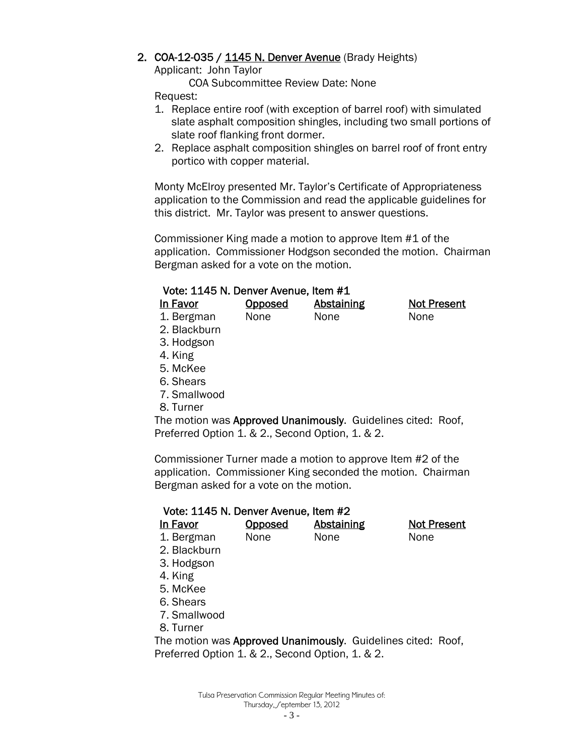# 2. COA-12-035 / 1145 N. Denver Avenue (Brady Heights)

Applicant: John Taylor

COA Subcommittee Review Date: None

Request:

- 1. Replace entire roof (with exception of barrel roof) with simulated slate asphalt composition shingles, including two small portions of slate roof flanking front dormer.
- 2. Replace asphalt composition shingles on barrel roof of front entry portico with copper material.

Monty McElroy presented Mr. Taylor's Certificate of Appropriateness application to the Commission and read the applicable guidelines for this district. Mr. Taylor was present to answer questions.

Commissioner King made a motion to approve Item #1 of the application. Commissioner Hodgson seconded the motion. Chairman Bergman asked for a vote on the motion.

# Vote: 1145 N. Denver Avenue, Item #1

| In Favor     | <b>Opposed</b> | Abstaining | <b>Not Present</b> |
|--------------|----------------|------------|--------------------|
| 1. Bergman   | <b>None</b>    | None       | None               |
| 2. Blackburn |                |            |                    |
| 2 Haddean    |                |            |                    |

- 3. Hodgson
- 4. King
- 5. McKee
- 6. Shears
- 7. Smallwood

8. Turner

The motion was Approved Unanimously. Guidelines cited: Roof, Preferred Option 1. & 2., Second Option, 1. & 2.

Commissioner Turner made a motion to approve Item #2 of the application. Commissioner King seconded the motion. Chairman Bergman asked for a vote on the motion.

#### Vote: 1145 N. Denver Avenue, Item #2

| In Favor                                         | Opposed | Abstaining                                                   | <b>Not Present</b> |
|--------------------------------------------------|---------|--------------------------------------------------------------|--------------------|
| 1. Bergman                                       | None    | None                                                         | None               |
| 2. Blackburn                                     |         |                                                              |                    |
| 3. Hodgson                                       |         |                                                              |                    |
| 4. King                                          |         |                                                              |                    |
| 5. McKee                                         |         |                                                              |                    |
| 6. Shears                                        |         |                                                              |                    |
| 7. Smallwood                                     |         |                                                              |                    |
| 8. Turner                                        |         |                                                              |                    |
|                                                  |         | The motion was Approved Unanimously. Guidelines cited: Roof, |                    |
| Preferred Option 1. & 2., Second Option, 1. & 2. |         |                                                              |                    |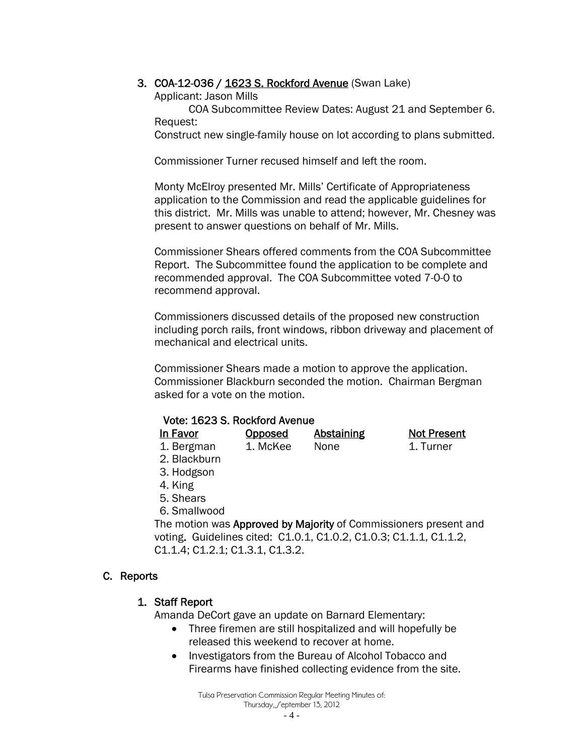# 3. COA-12-036 / 1623 S. Rockford Avenue (Swan Lake)

Applicant: Jason Mills

COA Subcommittee Review Dates: August 21 and September 6. Request:

Construct new single-family house on lot according to plans submitted.

Commissioner Turner recused himself and left the room.

Monty McElroy presented Mr. Mills' Certificate of Appropriateness application to the Commission and read the applicable guidelines for this district. Mr. Mills was unable to attend; however, Mr. Chesney was present to answer questions on behalf of Mr. Mills.

Commissioner Shears offered comments from the COA Subcommittee Report. The Subcommittee found the application to be complete and recommended approval. The COA Subcommittee voted 7-0-0 to recommend approval.

Commissioners discussed details of the proposed new construction including porch rails, front windows, ribbon driveway and placement of mechanical and electrical units.

Commissioner Shears made a motion to approve the application. Commissioner Blackburn seconded the motion. Chairman Bergman asked for a vote on the motion.

| Vote: 1623 S. Rockford Avenue |  |  |
|-------------------------------|--|--|
|-------------------------------|--|--|

In Favor **Opposed** Abstaining Not Present 1. Bergman 1. McKee None 1. Turner

- 2. Blackburn
- 3. Hodgson
- 4. King
- 5. Shears
- 6. Smallwood

The motion was Approved by Majority of Commissioners present and voting. Guidelines cited: C1.0.1, C1.0.2, C1.0.3; C1.1.1, C1.1.2, C1.1.4; C1.2.1; C1.3.1, C1.3.2.

# C. Reports

# 1. Staff Report

Amanda DeCort gave an update on Barnard Elementary:

- Three firemen are still hospitalized and will hopefully be released this weekend to recover at home.
- Investigators from the Bureau of Alcohol Tobacco and Firearms have finished collecting evidence from the site.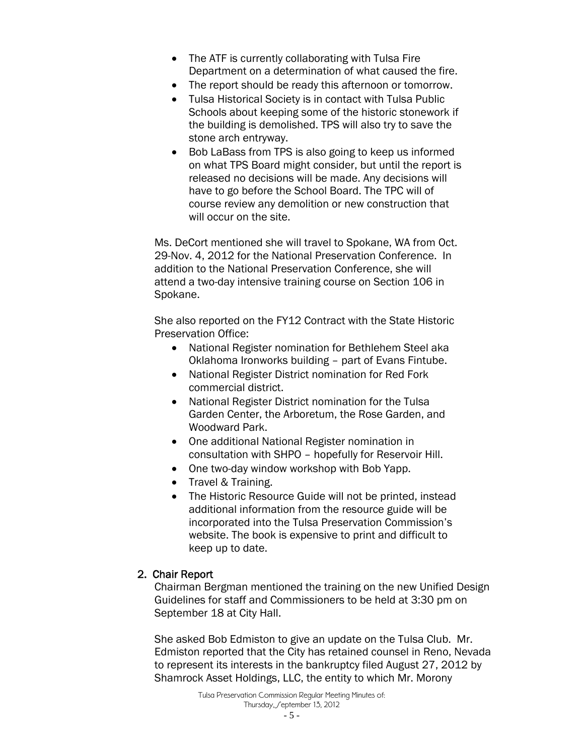- The ATF is currently collaborating with Tulsa Fire Department on a determination of what caused the fire.
- The report should be ready this afternoon or tomorrow.
- Tulsa Historical Society is in contact with Tulsa Public Schools about keeping some of the historic stonework if the building is demolished. TPS will also try to save the stone arch entryway.
- Bob LaBass from TPS is also going to keep us informed on what TPS Board might consider, but until the report is released no decisions will be made. Any decisions will have to go before the School Board. The TPC will of course review any demolition or new construction that will occur on the site.

Ms. DeCort mentioned she will travel to Spokane, WA from Oct. 29-Nov. 4, 2012 for the National Preservation Conference. In addition to the National Preservation Conference, she will attend a two-day intensive training course on Section 106 in Spokane.

She also reported on the FY12 Contract with the State Historic Preservation Office:

- National Register nomination for Bethlehem Steel aka Oklahoma Ironworks building – part of Evans Fintube.
- National Register District nomination for Red Fork commercial district.
- National Register District nomination for the Tulsa Garden Center, the Arboretum, the Rose Garden, and Woodward Park.
- One additional National Register nomination in consultation with SHPO – hopefully for Reservoir Hill.
- One two-day window workshop with Bob Yapp.
- Travel & Training.
- The Historic Resource Guide will not be printed, instead additional information from the resource guide will be incorporated into the Tulsa Preservation Commission's website. The book is expensive to print and difficult to keep up to date.

#### 2. Chair Report

Chairman Bergman mentioned the training on the new Unified Design Guidelines for staff and Commissioners to be held at 3:30 pm on September 18 at City Hall.

She asked Bob Edmiston to give an update on the Tulsa Club. Mr. Edmiston reported that the City has retained counsel in Reno, Nevada to represent its interests in the bankruptcy filed August 27, 2012 by Shamrock Asset Holdings, LLC, the entity to which Mr. Morony